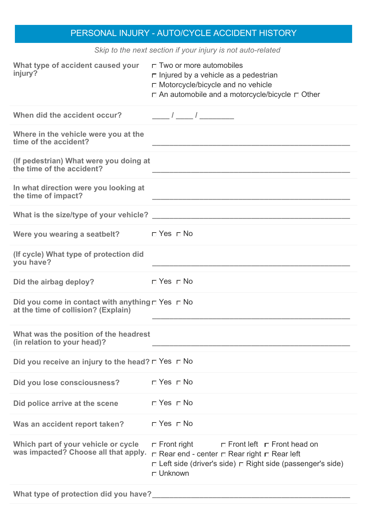## PERSONAL INJURY - AUTO/CYCLE ACCIDENT HISTORY

| Skip to the next section if your injury is not auto-related                                       |                                                                                                                                                                                                              |  |
|---------------------------------------------------------------------------------------------------|--------------------------------------------------------------------------------------------------------------------------------------------------------------------------------------------------------------|--|
| What type of accident caused your<br>injury?                                                      | $\Box$ Two or more automobiles<br>$\Box$ Injured by a vehicle as a pedestrian<br>$\Box$ Motorcycle/bicycle and no vehicle<br>□ An automobile and a motorcycle/bicycle □ Other                                |  |
| When did the accident occur?                                                                      |                                                                                                                                                                                                              |  |
| Where in the vehicle were you at the<br>time of the accident?                                     |                                                                                                                                                                                                              |  |
| (If pedestrian) What were you doing at<br>the time of the accident?                               |                                                                                                                                                                                                              |  |
| In what direction were you looking at<br>the time of impact?                                      |                                                                                                                                                                                                              |  |
|                                                                                                   |                                                                                                                                                                                                              |  |
| Were you wearing a seatbelt? $\square$ Yes $\square$ No                                           |                                                                                                                                                                                                              |  |
| (If cycle) What type of protection did<br>you have?                                               |                                                                                                                                                                                                              |  |
| Did the airbag deploy?                                                                            | $\Box$ Yes $\Box$ No                                                                                                                                                                                         |  |
| Did you come in contact with anything $\Box$ Yes $\Box$ No<br>at the time of collision? (Explain) |                                                                                                                                                                                                              |  |
| What was the position of the headrest<br>(in relation to your head)?                              |                                                                                                                                                                                                              |  |
| Did you receive an injury to the head? $\Box$ Yes $\Box$ No                                       |                                                                                                                                                                                                              |  |
| Did you lose consciousness?                                                                       | $\Box$ Yes $\Box$ No                                                                                                                                                                                         |  |
| Did police arrive at the scene                                                                    | $\Box$ Yes $\Box$ No                                                                                                                                                                                         |  |
| Was an accident report taken?                                                                     | $\Box$ Yes $\Box$ No                                                                                                                                                                                         |  |
| Which part of your vehicle or cycle<br>was impacted? Choose all that apply.                       | $\Box$ Front left $\Box$ Front head on<br>$\Box$ Front right<br>$\Box$ Rear end - center $\Box$ Rear right $\Box$ Rear left<br>□ Left side (driver's side) □ Right side (passenger's side)<br>$\Box$ Unknown |  |
| What type of protection did you have?                                                             |                                                                                                                                                                                                              |  |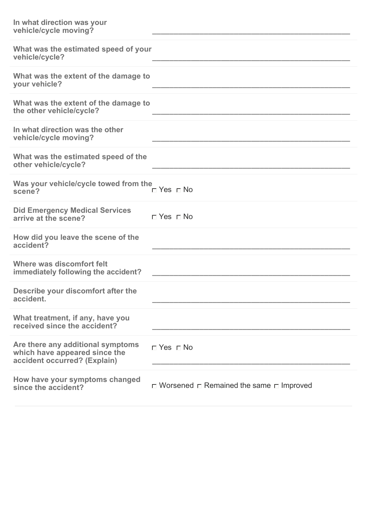| In what direction was your<br>vehicle/cycle moving?                                                |                                                          |
|----------------------------------------------------------------------------------------------------|----------------------------------------------------------|
| What was the estimated speed of your<br>vehicle/cycle?                                             |                                                          |
| What was the extent of the damage to<br>your vehicle?                                              |                                                          |
| What was the extent of the damage to<br>the other vehicle/cycle?                                   |                                                          |
| In what direction was the other<br>vehicle/cycle moving?                                           |                                                          |
| What was the estimated speed of the<br>other vehicle/cycle?                                        |                                                          |
| Was your vehicle/cycle towed from the<br>scene?                                                    | $\neg$ Yes $\neg$ No                                     |
| <b>Did Emergency Medical Services</b><br>arrive at the scene?                                      | $\sqcap$ Yes $\sqcap$ No                                 |
| How did you leave the scene of the<br>accident?                                                    |                                                          |
| Where was discomfort felt<br>immediately following the accident?                                   |                                                          |
| Describe your discomfort after the<br>accident.                                                    |                                                          |
| What treatment, if any, have you<br>received since the accident?                                   |                                                          |
| Are there any additional symptoms<br>which have appeared since the<br>accident occurred? (Explain) | $\Box$ Yes $\Box$ No                                     |
| How have your symptoms changed<br>since the accident?                                              | $\Box$ Worsened $\Box$ Remained the same $\Box$ Improved |